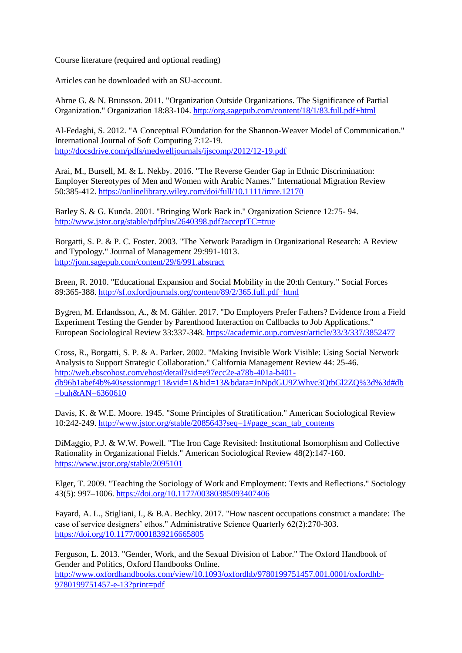Course literature (required and optional reading)

Articles can be downloaded with an SU-account.

Ahrne G. & N. Brunsson. 2011. "Organization Outside Organizations. The Significance of Partial Organization." Organization 18:83-104. <http://org.sagepub.com/content/18/1/83.full.pdf+html>

Al-Fedaghi, S. 2012. "A Conceptual FOundation for the Shannon-Weaver Model of Communication." International Journal of Soft Computing 7:12-19. <http://docsdrive.com/pdfs/medwelljournals/ijscomp/2012/12-19.pdf>

Arai, M., Bursell, M. & L. Nekby. 2016. "The Reverse Gender Gap in Ethnic Discrimination: Employer Stereotypes of Men and Women with Arabic Names." International Migration Review 50:385-412. <https://onlinelibrary.wiley.com/doi/full/10.1111/imre.12170>

Barley S. & G. Kunda. 2001. "Bringing Work Back in." Organization Science 12:75- 94. <http://www.jstor.org/stable/pdfplus/2640398.pdf?acceptTC=true>

Borgatti, S. P. & P. C. Foster. 2003. "The Network Paradigm in Organizational Research: A Review and Typology." Journal of Management 29:991-1013. <http://jom.sagepub.com/content/29/6/991.abstract>

Breen, R. 2010. "Educational Expansion and Social Mobility in the 20:th Century." Social Forces 89:365-388.<http://sf.oxfordjournals.org/content/89/2/365.full.pdf+html>

Bygren, M. Erlandsson, A., & M. Gähler. 2017. "Do Employers Prefer Fathers? Evidence from a Field Experiment Testing the Gender by Parenthood Interaction on Callbacks to Job Applications." European Sociological Review 33:337-348. <https://academic.oup.com/esr/article/33/3/337/3852477>

Cross, R., Borgatti, S. P. & A. Parker. 2002. "Making Invisible Work Visible: Using Social Network Analysis to Support Strategic Collaboration." California Management Review 44: 25-46. [http://web.ebscohost.com/ehost/detail?sid=e97ecc2e-a78b-401a-b401](http://web.ebscohost.com/ehost/detail?sid=e97ecc2e-a78b-401a-b401-db96b1abef4b%40sessionmgr11&vid=1&hid=13&bdata=JnNpdGU9ZWhvc3QtbGl2ZQ%3d%3d#db=buh&AN=6360610) [db96b1abef4b%40sessionmgr11&vid=1&hid=13&bdata=JnNpdGU9ZWhvc3QtbGl2ZQ%3d%3d#db](http://web.ebscohost.com/ehost/detail?sid=e97ecc2e-a78b-401a-b401-db96b1abef4b%40sessionmgr11&vid=1&hid=13&bdata=JnNpdGU9ZWhvc3QtbGl2ZQ%3d%3d#db=buh&AN=6360610)  $=buh&AN=6360610$ 

Davis, K. & W.E. Moore. 1945. "Some Principles of Stratification." American Sociological Review 10:242-249. [http://www.jstor.org/stable/2085643?seq=1#page\\_scan\\_tab\\_contents](http://www.jstor.org/stable/2085643?seq=1#page_scan_tab_contents)

DiMaggio, P.J. & W.W. Powell. "The Iron Cage Revisited: Institutional Isomorphism and Collective Rationality in Organizational Fields." American Sociological Review 48(2):147-160. <https://www.jstor.org/stable/2095101>

Elger, T. 2009. "Teaching the Sociology of Work and Employment: Texts and Reflections." Sociology 43(5): 997–1006.<https://doi.org/10.1177/00380385093407406>

Fayard, A. L., Stigliani, I., & B.A. Bechky. 2017. "How nascent occupations construct a mandate: The case of service designers' ethos." Administrative Science Quarterly 62(2):270-303. <https://doi.org/10.1177/0001839216665805>

Ferguson, L. 2013. "Gender, Work, and the Sexual Division of Labor." The Oxford Handbook of Gender and Politics, Oxford Handbooks Online. [http://www.oxfordhandbooks.com/view/10.1093/oxfordhb/9780199751457.001.0001/oxfordhb-](http://www.oxfordhandbooks.com/view/10.1093/oxfordhb/9780199751457.001.0001/oxfordhb-9780199751457-e-13?print=pdf)[9780199751457-e-13?print=pdf](http://www.oxfordhandbooks.com/view/10.1093/oxfordhb/9780199751457.001.0001/oxfordhb-9780199751457-e-13?print=pdf)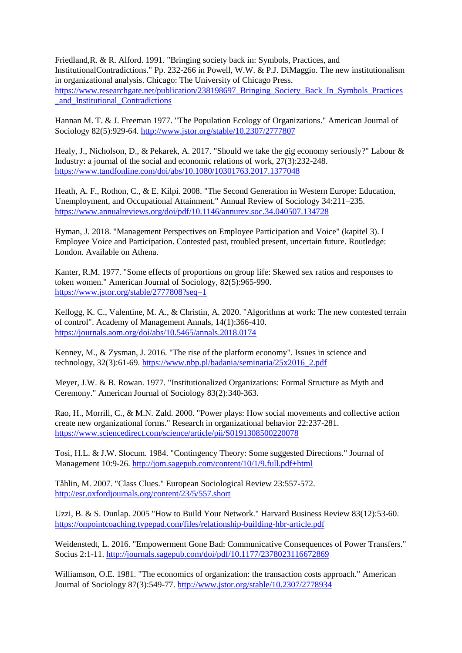Friedland,R. & R. Alford. 1991. "Bringing society back in: Symbols, Practices, and InstitutionalContradictions." Pp. 232-266 in Powell, W.W. & P.J. DiMaggio. The new institutionalism in organizational analysis. Chicago: The University of Chicago Press. [https://www.researchgate.net/publication/238198697\\_Bringing\\_Society\\_Back\\_In\\_Symbols\\_Practices](https://www.researchgate.net/publication/238198697_Bringing_Society_Back_In_Symbols_Practices_and_Institutional_Contradictions) [\\_and\\_Institutional\\_Contradictions](https://www.researchgate.net/publication/238198697_Bringing_Society_Back_In_Symbols_Practices_and_Institutional_Contradictions)

Hannan M. T. & J. Freeman 1977. "The Population Ecology of Organizations." American Journal of Sociology 82(5):929-64.<http://www.jstor.org/stable/10.2307/2777807>

Healy, J., Nicholson, D., & Pekarek, A. 2017. "Should we take the gig economy seriously?" Labour & Industry: a journal of the social and economic relations of work, 27(3):232-248. <https://www.tandfonline.com/doi/abs/10.1080/10301763.2017.1377048>

Heath, A. F., Rothon, C., & E. Kilpi. 2008. "The Second Generation in Western Europe: Education, Unemployment, and Occupational Attainment." Annual Review of Sociology 34:211–235. <https://www.annualreviews.org/doi/pdf/10.1146/annurev.soc.34.040507.134728>

Hyman, J. 2018. "Management Perspectives on Employee Participation and Voice" (kapitel 3). I Employee Voice and Participation. Contested past, troubled present, uncertain future. Routledge: London. Available on Athena.

Kanter, R.M. 1977. "Some effects of proportions on group life: Skewed sex ratios and responses to token women." American Journal of Sociology, 82(5):965-990. <https://www.jstor.org/stable/2777808?seq=1>

Kellogg, K. C., Valentine, M. A., & Christin, A. 2020. "Algorithms at work: The new contested terrain of control". Academy of Management Annals, 14(1):366-410. <https://journals.aom.org/doi/abs/10.5465/annals.2018.0174>

Kenney, M., & Zysman, J. 2016. "The rise of the platform economy". Issues in science and technology, 32(3):61-69. [https://www.nbp.pl/badania/seminaria/25x2016\\_2.pdf](https://www.nbp.pl/badania/seminaria/25x2016_2.pdf)

Meyer, J.W. & B. Rowan. 1977. "Institutionalized Organizations: Formal Structure as Myth and Ceremony." American Journal of Sociology 83(2):340-363.

Rao, H., Morrill, C., & M.N. Zald. 2000. "Power plays: How social movements and collective action create new organizational forms." Research in organizational behavior 22:237-281. <https://www.sciencedirect.com/science/article/pii/S0191308500220078>

Tosi, H.L. & J.W. Slocum. 1984. "Contingency Theory: Some suggested Directions." Journal of Management 10:9-26.<http://jom.sagepub.com/content/10/1/9.full.pdf+html>

Tåhlin, M. 2007. "Class Clues." European Sociological Review 23:557-572. <http://esr.oxfordjournals.org/content/23/5/557.short>

Uzzi, B. & S. Dunlap. 2005 "How to Build Your Network." Harvard Business Review 83(12):53-60. <https://onpointcoaching.typepad.com/files/relationship-building-hbr-article.pdf>

Weidenstedt, L. 2016. "Empowerment Gone Bad: Communicative Consequences of Power Transfers." Socius 2:1-11.<http://journals.sagepub.com/doi/pdf/10.1177/2378023116672869>

Williamson, O.E. 1981. "The economics of organization: the transaction costs approach." American Journal of Sociology 87(3):549-77.<http://www.jstor.org/stable/10.2307/2778934>